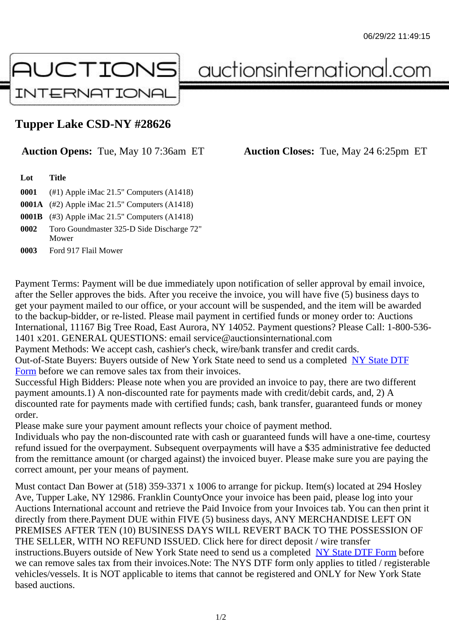## Tupper Lake CSD-NY #28626

## Auction Opens: Tue, May 10 7:36am ET Auction Closes: Tue, May 24 6:25pm ET

Lot Title

0001 (#1) Apple iMac 21.5" Computers (A1418)

0001A (#2) Apple iMac 21.5" Computers (A1418)

0001B (#3) Apple iMac 21.5" Computers (A1418)

0002 Toro Goundmaster 325-D Side Discharge 72" Mower

0003 Ford 917 Flail Mower

Payment Terms: Payment will be due immediately upon notification of seller approval by email invoice, after the Seller approves the bids. After you receive the invoice, you will have five (5) business days to get your payment mailed to our office, or your account will be suspended, and the item will be awarded to the backup-bidder, or re-listed. Please mail payment in certified funds or money order to: Auctions International, 11167 Big Tree Road, East Aurora, NY 14052. Payment questions? Please Call: 1-800-53 1401 x201. GENERAL QUESTIONS: email service@auctionsinternational.com

Payment Methods: We accept cash, cashier's check, wire/bank transfer and credit cards.

Out-of-State Buyers: Buyers outside of New York State need to send us a com blestate DTF Form before we can remove sales tax from their invoices.

Successful High Bidders: Please note when you are provided an invoice to pay, there are two different payment amounts.1) A non-discounted rate for payments made with credit/de[bit cards, and](https://www.auctionsinternational.com/auxiliary/downloads/DTF_Form/dtf_fill_in.pdf), 2) A [disco](https://www.auctionsinternational.com/auxiliary/downloads/DTF_Form/dtf_fill_in.pdf)unted rate for payments made with certified funds; cash, bank transfer, guaranteed funds or mone order.

Please make sure your payment amount reflects your choice of payment method.

Individuals who pay the non-discounted rate with cash or guaranteed funds will have a one-time, courte refund issued for the overpayment. Subsequent overpayments will have a \$35 administrative fee deduc from the remittance amount (or charged against) the invoiced buyer. Please make sure you are paying correct amount, per your means of payment.

Must contact Dan Bower at (518) 359-3371 x 1006 to arrange for pickup. Item(s) located at 294 Hosley Ave, Tupper Lake, NY 12986. Franklin CountyOnce your invoice has been paid, please log into your Auctions International account and retrieve the Paid Invoice from your Invoices tab. You can then print it directly from there.Payment DUE within FIVE (5) business days, ANY MERCHANDISE LEFT ON PREMISES AFTER TEN (10) BUSINESS DAYS WILL REVERT BACK TO THE POSSESSION OF THE SELLER, WITH NO REFUND ISSUED. Click here for direct deposit / wire transfer instructions. Buyers outside of New York State need to send us a combleted ate DTF Form before we can remove sales tax from their invoices.Note: The NYS DTF form only applies to titled / registerabl vehicles/vessels. It is NOT applicable to items that cannot be registered and ONLY for New York State based auctions.